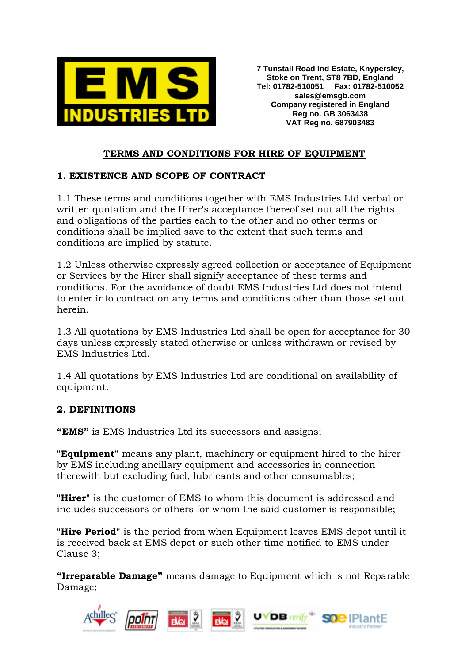

**7 Tunstall Road Ind Estate, Knypersley, Stoke on Trent, ST8 7BD, England Tel: 01782-510051 Fax: 01782-510052 sales@emsgb.com Company registered in England Reg no. GB 3063438 VAT Reg no. 687903483**

### **TERMS AND CONDITIONS FOR HIRE OF EQUIPMENT**

### **1. EXISTENCE AND SCOPE OF CONTRACT**

1.1 These terms and conditions together with EMS Industries Ltd verbal or written quotation and the Hirer's acceptance thereof set out all the rights and obligations of the parties each to the other and no other terms or conditions shall be implied save to the extent that such terms and conditions are implied by statute.

1.2 Unless otherwise expressly agreed collection or acceptance of Equipment or Services by the Hirer shall signify acceptance of these terms and conditions. For the avoidance of doubt EMS Industries Ltd does not intend to enter into contract on any terms and conditions other than those set out herein.

1.3 All quotations by EMS Industries Ltd shall be open for acceptance for 30 days unless expressly stated otherwise or unless withdrawn or revised by EMS Industries Ltd.

1.4 All quotations by EMS Industries Ltd are conditional on availability of equipment.

#### **2. DEFINITIONS**

**"EMS"** is EMS Industries Ltd its successors and assigns;

**"Equipment"** means any plant, machinery or equipment hired to the hirer by EMS including ancillary equipment and accessories in connection therewith but excluding fuel, lubricants and other consumables;

**"Hirer"** is the customer of EMS to whom this document is addressed and includes successors or others for whom the said customer is responsible;

**"Hire Period"** is the period from when Equipment leaves EMS depot until it is received back at EMS depot or such other time notified to EMS under Clause 3;

**"Irreparable Damage"** means damage to Equipment which is not Reparable Damage;

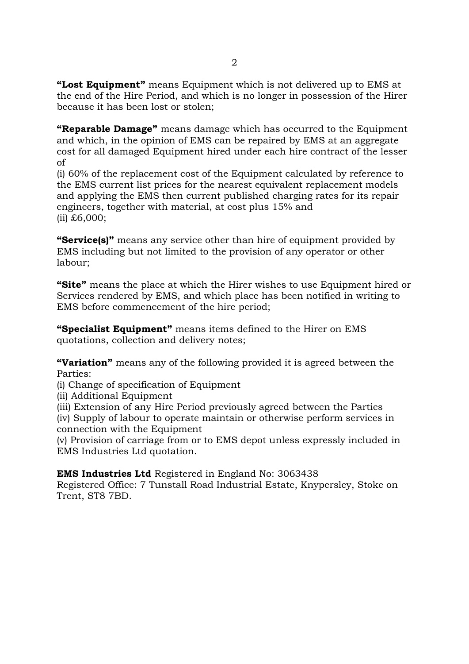**"Lost Equipment"** means Equipment which is not delivered up to EMS at the end of the Hire Period, and which is no longer in possession of the Hirer because it has been lost or stolen;

**"Reparable Damage"** means damage which has occurred to the Equipment and which, in the opinion of EMS can be repaired by EMS at an aggregate cost for all damaged Equipment hired under each hire contract of the lesser of

(i) 60% of the replacement cost of the Equipment calculated by reference to the EMS current list prices for the nearest equivalent replacement models and applying the EMS then current published charging rates for its repair engineers, together with material, at cost plus 15% and (ii) £6,000;

**"Service(s)"** means any service other than hire of equipment provided by EMS including but not limited to the provision of any operator or other labour;

**"Site"** means the place at which the Hirer wishes to use Equipment hired or Services rendered by EMS, and which place has been notified in writing to EMS before commencement of the hire period;

**"Specialist Equipment"** means items defined to the Hirer on EMS quotations, collection and delivery notes;

**"Variation"** means any of the following provided it is agreed between the Parties:

(i) Change of specification of Equipment

(ii) Additional Equipment

(iii) Extension of any Hire Period previously agreed between the Parties

(iv) Supply of labour to operate maintain or otherwise perform services in connection with the Equipment

(v) Provision of carriage from or to EMS depot unless expressly included in EMS Industries Ltd quotation.

**EMS Industries Ltd** Registered in England No: 3063438

Registered Office: 7 Tunstall Road Industrial Estate, Knypersley, Stoke on Trent, ST8 7BD.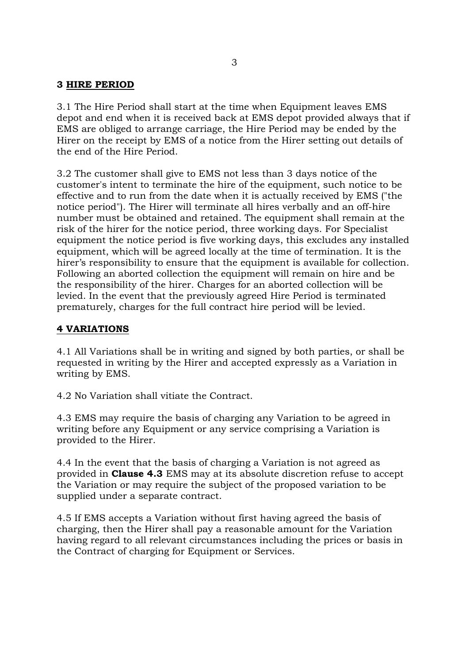#### **3 HIRE PERIOD**

3.1 The Hire Period shall start at the time when Equipment leaves EMS depot and end when it is received back at EMS depot provided always that if EMS are obliged to arrange carriage, the Hire Period may be ended by the Hirer on the receipt by EMS of a notice from the Hirer setting out details of the end of the Hire Period.

3.2 The customer shall give to EMS not less than 3 days notice of the customer's intent to terminate the hire of the equipment, such notice to be effective and to run from the date when it is actually received by EMS ("the notice period"). The Hirer will terminate all hires verbally and an off-hire number must be obtained and retained. The equipment shall remain at the risk of the hirer for the notice period, three working days. For Specialist equipment the notice period is five working days, this excludes any installed equipment, which will be agreed locally at the time of termination. It is the hirer's responsibility to ensure that the equipment is available for collection. Following an aborted collection the equipment will remain on hire and be the responsibility of the hirer. Charges for an aborted collection will be levied. In the event that the previously agreed Hire Period is terminated prematurely, charges for the full contract hire period will be levied.

#### **4 VARIATIONS**

4.1 All Variations shall be in writing and signed by both parties, or shall be requested in writing by the Hirer and accepted expressly as a Variation in writing by EMS.

4.2 No Variation shall vitiate the Contract.

4.3 EMS may require the basis of charging any Variation to be agreed in writing before any Equipment or any service comprising a Variation is provided to the Hirer.

4.4 In the event that the basis of charging a Variation is not agreed as provided in **Clause 4.3** EMS may at its absolute discretion refuse to accept the Variation or may require the subject of the proposed variation to be supplied under a separate contract.

4.5 If EMS accepts a Variation without first having agreed the basis of charging, then the Hirer shall pay a reasonable amount for the Variation having regard to all relevant circumstances including the prices or basis in the Contract of charging for Equipment or Services.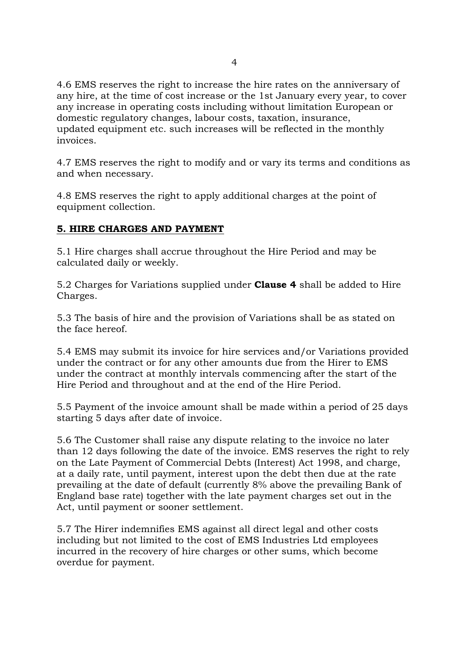4.6 EMS reserves the right to increase the hire rates on the anniversary of any hire, at the time of cost increase or the 1st January every year, to cover any increase in operating costs including without limitation European or domestic regulatory changes, labour costs, taxation, insurance, updated equipment etc. such increases will be reflected in the monthly invoices.

4.7 EMS reserves the right to modify and or vary its terms and conditions as and when necessary.

4.8 EMS reserves the right to apply additional charges at the point of equipment collection.

## **5. HIRE CHARGES AND PAYMENT**

5.1 Hire charges shall accrue throughout the Hire Period and may be calculated daily or weekly.

5.2 Charges for Variations supplied under **Clause 4** shall be added to Hire Charges.

5.3 The basis of hire and the provision of Variations shall be as stated on the face hereof.

5.4 EMS may submit its invoice for hire services and/or Variations provided under the contract or for any other amounts due from the Hirer to EMS under the contract at monthly intervals commencing after the start of the Hire Period and throughout and at the end of the Hire Period.

5.5 Payment of the invoice amount shall be made within a period of 25 days starting 5 days after date of invoice.

5.6 The Customer shall raise any dispute relating to the invoice no later than 12 days following the date of the invoice. EMS reserves the right to rely on the Late Payment of Commercial Debts (Interest) Act 1998, and charge, at a daily rate, until payment, interest upon the debt then due at the rate prevailing at the date of default (currently 8% above the prevailing Bank of England base rate) together with the late payment charges set out in the Act, until payment or sooner settlement.

5.7 The Hirer indemnifies EMS against all direct legal and other costs including but not limited to the cost of EMS Industries Ltd employees incurred in the recovery of hire charges or other sums, which become overdue for payment.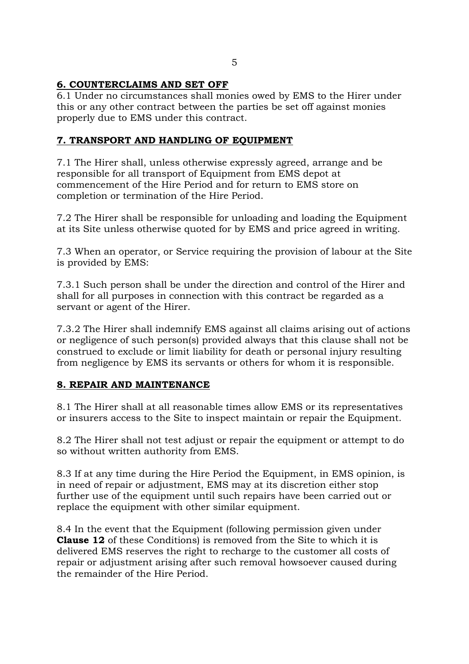# **6. COUNTERCLAIMS AND SET OFF**

6.1 Under no circumstances shall monies owed by EMS to the Hirer under this or any other contract between the parties be set off against monies properly due to EMS under this contract.

## **7. TRANSPORT AND HANDLING OF EQUIPMENT**

7.1 The Hirer shall, unless otherwise expressly agreed, arrange and be responsible for all transport of Equipment from EMS depot at commencement of the Hire Period and for return to EMS store on completion or termination of the Hire Period.

7.2 The Hirer shall be responsible for unloading and loading the Equipment at its Site unless otherwise quoted for by EMS and price agreed in writing.

7.3 When an operator, or Service requiring the provision of labour at the Site is provided by EMS:

7.3.1 Such person shall be under the direction and control of the Hirer and shall for all purposes in connection with this contract be regarded as a servant or agent of the Hirer.

7.3.2 The Hirer shall indemnify EMS against all claims arising out of actions or negligence of such person(s) provided always that this clause shall not be construed to exclude or limit liability for death or personal injury resulting from negligence by EMS its servants or others for whom it is responsible.

## **8. REPAIR AND MAINTENANCE**

8.1 The Hirer shall at all reasonable times allow EMS or its representatives or insurers access to the Site to inspect maintain or repair the Equipment.

8.2 The Hirer shall not test adjust or repair the equipment or attempt to do so without written authority from EMS.

8.3 If at any time during the Hire Period the Equipment, in EMS opinion, is in need of repair or adjustment, EMS may at its discretion either stop further use of the equipment until such repairs have been carried out or replace the equipment with other similar equipment.

8.4 In the event that the Equipment (following permission given under **Clause 12** of these Conditions) is removed from the Site to which it is delivered EMS reserves the right to recharge to the customer all costs of repair or adjustment arising after such removal howsoever caused during the remainder of the Hire Period.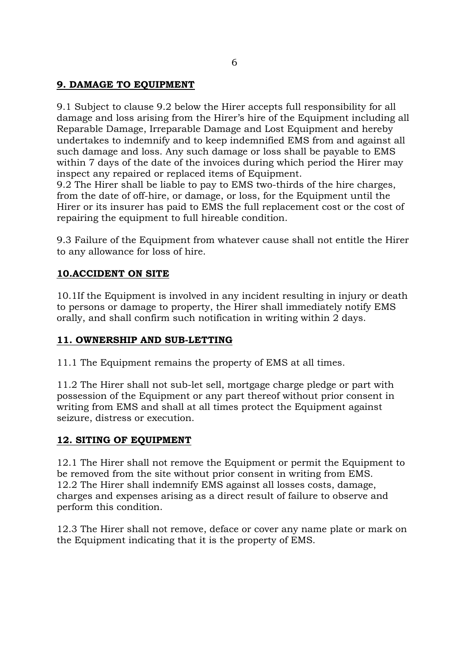#### **9. DAMAGE TO EQUIPMENT**

9.1 Subject to clause 9.2 below the Hirer accepts full responsibility for all damage and loss arising from the Hirer's hire of the Equipment including all Reparable Damage, Irreparable Damage and Lost Equipment and hereby undertakes to indemnify and to keep indemnified EMS from and against all such damage and loss. Any such damage or loss shall be payable to EMS within 7 days of the date of the invoices during which period the Hirer may inspect any repaired or replaced items of Equipment.

9.2 The Hirer shall be liable to pay to EMS two-thirds of the hire charges, from the date of off-hire, or damage, or loss, for the Equipment until the Hirer or its insurer has paid to EMS the full replacement cost or the cost of repairing the equipment to full hireable condition.

9.3 Failure of the Equipment from whatever cause shall not entitle the Hirer to any allowance for loss of hire.

#### **10.ACCIDENT ON SITE**

10.1If the Equipment is involved in any incident resulting in injury or death to persons or damage to property, the Hirer shall immediately notify EMS orally, and shall confirm such notification in writing within 2 days.

#### **11. OWNERSHIP AND SUB-LETTING**

11.1 The Equipment remains the property of EMS at all times.

11.2 The Hirer shall not sub-let sell, mortgage charge pledge or part with possession of the Equipment or any part thereof without prior consent in writing from EMS and shall at all times protect the Equipment against seizure, distress or execution.

#### **12. SITING OF EQUIPMENT**

12.1 The Hirer shall not remove the Equipment or permit the Equipment to be removed from the site without prior consent in writing from EMS. 12.2 The Hirer shall indemnify EMS against all losses costs, damage, charges and expenses arising as a direct result of failure to observe and perform this condition.

12.3 The Hirer shall not remove, deface or cover any name plate or mark on the Equipment indicating that it is the property of EMS.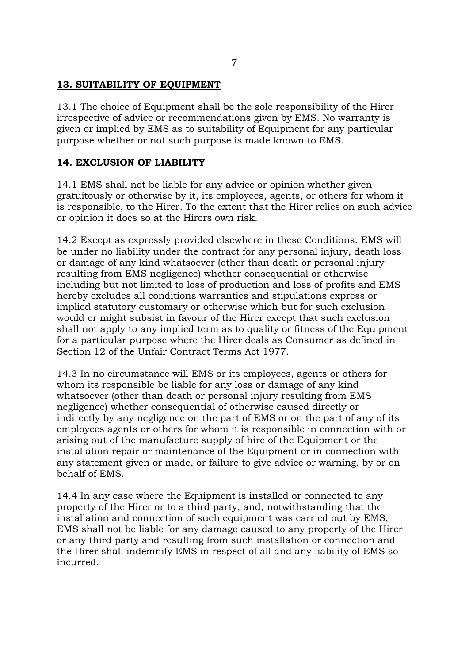### **13. SUITABILITY OF EQUIPMENT**

13.1 The choice of Equipment shall be the sole responsibility of the Hirer irrespective of advice or recommendations given by EMS. No warranty is given or implied by EMS as to suitability of Equipment for any particular purpose whether or not such purpose is made known to EMS.

### **14. EXCLUSION OF LIABILITY**

14.1 EMS shall not be liable for any advice or opinion whether given gratuitously or otherwise by it, its employees, agents, or others for whom it is responsible, to the Hirer. To the extent that the Hirer relies on such advice or opinion it does so at the Hirers own risk.

14.2 Except as expressly provided elsewhere in these Conditions. EMS will be under no liability under the contract for any personal injury, death loss or damage of any kind whatsoever (other than death or personal injury resulting from EMS negligence) whether consequential or otherwise including but not limited to loss of production and loss of profits and EMS hereby excludes all conditions warranties and stipulations express or implied statutory customary or otherwise which but for such exclusion would or might subsist in favour of the Hirer except that such exclusion shall not apply to any implied term as to quality or fitness of the Equipment for a particular purpose where the Hirer deals as Consumer as defined in Section 12 of the Unfair Contract Terms Act 1977.

14.3 In no circumstance will EMS or its employees, agents or others for whom its responsible be liable for any loss or damage of any kind whatsoever (other than death or personal injury resulting from EMS negligence) whether consequential of otherwise caused directly or indirectly by any negligence on the part of EMS or on the part of any of its employees agents or others for whom it is responsible in connection with or arising out of the manufacture supply of hire of the Equipment or the installation repair or maintenance of the Equipment or in connection with any statement given or made, or failure to give advice or warning, by or on behalf of EMS.

14.4 In any case where the Equipment is installed or connected to any property of the Hirer or to a third party, and, notwithstanding that the installation and connection of such equipment was carried out by EMS, EMS shall not be liable for any damage caused to any property of the Hirer or any third party and resulting from such installation or connection and the Hirer shall indemnify EMS in respect of all and any liability of EMS so incurred.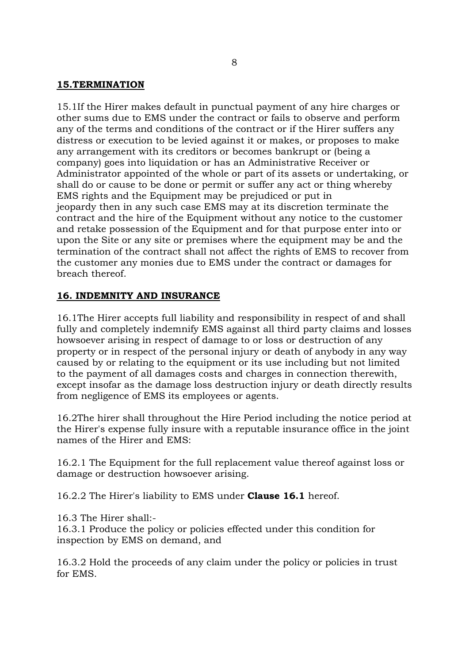#### **15.TERMINATION**

15.1If the Hirer makes default in punctual payment of any hire charges or other sums due to EMS under the contract or fails to observe and perform any of the terms and conditions of the contract or if the Hirer suffers any distress or execution to be levied against it or makes, or proposes to make any arrangement with its creditors or becomes bankrupt or (being a company) goes into liquidation or has an Administrative Receiver or Administrator appointed of the whole or part of its assets or undertaking, or shall do or cause to be done or permit or suffer any act or thing whereby EMS rights and the Equipment may be prejudiced or put in jeopardy then in any such case EMS may at its discretion terminate the contract and the hire of the Equipment without any notice to the customer and retake possession of the Equipment and for that purpose enter into or upon the Site or any site or premises where the equipment may be and the termination of the contract shall not affect the rights of EMS to recover from the customer any monies due to EMS under the contract or damages for breach thereof.

#### **16. INDEMNITY AND INSURANCE**

16.1The Hirer accepts full liability and responsibility in respect of and shall fully and completely indemnify EMS against all third party claims and losses howsoever arising in respect of damage to or loss or destruction of any property or in respect of the personal injury or death of anybody in any way caused by or relating to the equipment or its use including but not limited to the payment of all damages costs and charges in connection therewith, except insofar as the damage loss destruction injury or death directly results from negligence of EMS its employees or agents.

16.2The hirer shall throughout the Hire Period including the notice period at the Hirer's expense fully insure with a reputable insurance office in the joint names of the Hirer and EMS:

16.2.1 The Equipment for the full replacement value thereof against loss or damage or destruction howsoever arising.

16.2.2 The Hirer's liability to EMS under **Clause 16.1** hereof.

16.3 The Hirer shall:-

16.3.1 Produce the policy or policies effected under this condition for inspection by EMS on demand, and

16.3.2 Hold the proceeds of any claim under the policy or policies in trust for EMS.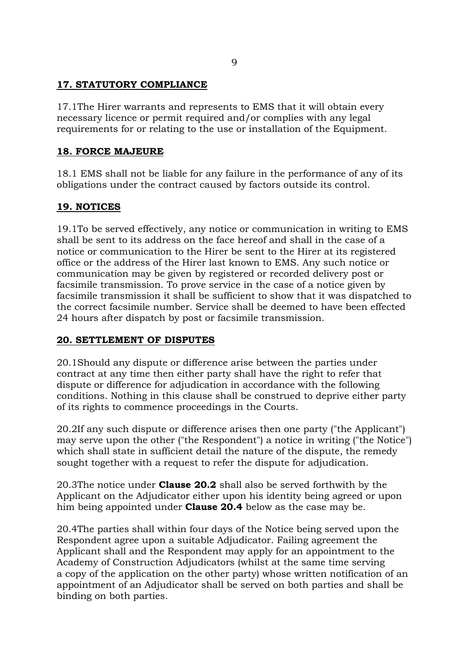### **17. STATUTORY COMPLIANCE**

17.1The Hirer warrants and represents to EMS that it will obtain every necessary licence or permit required and/or complies with any legal requirements for or relating to the use or installation of the Equipment.

### **18. FORCE MAJEURE**

18.1 EMS shall not be liable for any failure in the performance of any of its obligations under the contract caused by factors outside its control.

# **19. NOTICES**

19.1To be served effectively, any notice or communication in writing to EMS shall be sent to its address on the face hereof and shall in the case of a notice or communication to the Hirer be sent to the Hirer at its registered office or the address of the Hirer last known to EMS. Any such notice or communication may be given by registered or recorded delivery post or facsimile transmission. To prove service in the case of a notice given by facsimile transmission it shall be sufficient to show that it was dispatched to the correct facsimile number. Service shall be deemed to have been effected 24 hours after dispatch by post or facsimile transmission.

#### **20. SETTLEMENT OF DISPUTES**

20.1Should any dispute or difference arise between the parties under contract at any time then either party shall have the right to refer that dispute or difference for adjudication in accordance with the following conditions. Nothing in this clause shall be construed to deprive either party of its rights to commence proceedings in the Courts.

20.2If any such dispute or difference arises then one party ("the Applicant") may serve upon the other ("the Respondent") a notice in writing ("the Notice") which shall state in sufficient detail the nature of the dispute, the remedy sought together with a request to refer the dispute for adjudication.

20.3The notice under **Clause 20.2** shall also be served forthwith by the Applicant on the Adjudicator either upon his identity being agreed or upon him being appointed under **Clause 20.4** below as the case may be.

20.4The parties shall within four days of the Notice being served upon the Respondent agree upon a suitable Adjudicator. Failing agreement the Applicant shall and the Respondent may apply for an appointment to the Academy of Construction Adjudicators (whilst at the same time serving a copy of the application on the other party) whose written notification of an appointment of an Adjudicator shall be served on both parties and shall be binding on both parties.